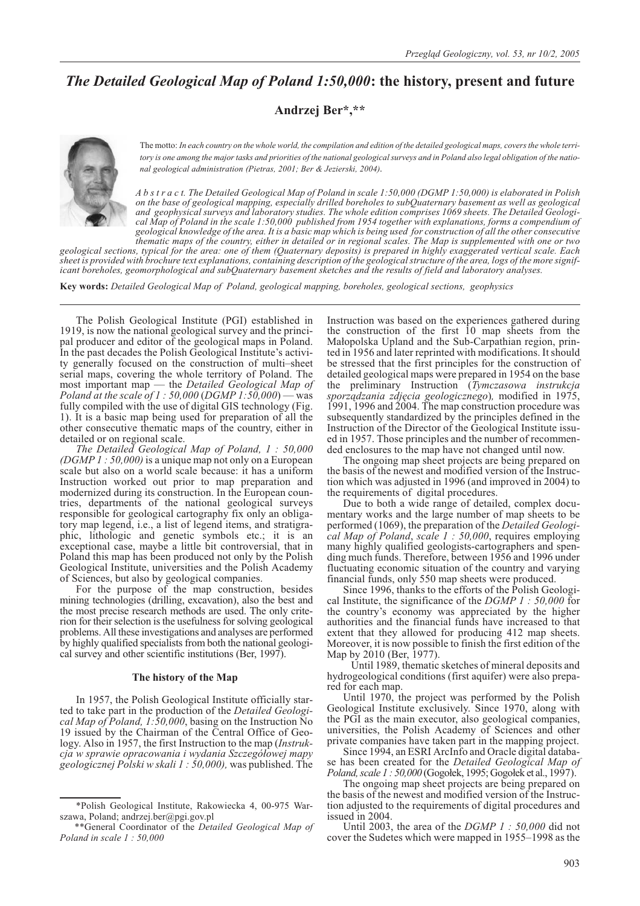# *The Detailed Geological Map of Poland 1:50,000***: the history, present and future**

**Andrzej Ber\*,\*\***



The motto: *In each country on the whole world, the compilation and edition of the detailed geological maps, covers the whole territory is one among the major tasks and priorities of the national geological surveys and in Poland also legal obligation of the national geological administration (Pietras, 2001; Ber & Jezierski, 2004).*

*A b s t r a c t. The Detailed Geological Map of Poland in scale 1:50,000 (DGMP 1:50,000) is elaborated in Polish on the base of geological mapping, especially drilled boreholes to subQuaternary basement as well as geological* and geophysical surveys and laboratory studies. The whole edition comprises 1069 sheets. The Detailed Geologi-<br>cal Map of Poland in the scale 1:50,000 published from 1954 together with explanations, forms a compendium of *geological knowledge of the area. It is a basic map which is being used for construction of all the other consecutive thematic maps of the country, either in detailed or in regional scales. The Map is supplemented with one or two*

*geological sections, typical for the area: one of them (Quaternary deposits) is prepared in highly exaggerated vertical scale. Each* sheet is provided with brochure text explanations, containing description of the geological structure of the area, logs of the more significant boreholes, geomorphological and subQuaternary basement sketches and the result

**Key words:** *Detailed Geological Map of Poland, geological mapping, boreholes, geological sections, geophysics*

The Polish Geological Institute (PGI) established in 1919, is now the national geological survey and the princi- pal producer and editor of the geological maps in Poland. In the past decades the Polish Geological Institute's activi- ty generally focused on the construction of multi–sheet serial maps, covering the whole territory of Poland. The most important map — the *Detailed Geological Map of Poland at the scale of 1 : 50,000* (*DGMP 1:50,000*) — was fully compiled with the use of digital GIS technology (Fig. 1). It is a basic map being used for preparation of all the other consecutive thematic maps of the country, either in detailed or on regional scale.

*The Detailed Geological Map of Poland, 1 : 50,000 (DGMP 1 : 50,000)* is a unique map not only on a European scale but also on a world scale because: it has a uniform Instruction worked out prior to map preparation and modernized during its construction. In the European countries, departments of the national geological surveys responsible for geological cartography fix only an obligatory map legend, i.e., a list of legend items, and stratigraphic, lithologic and genetic symbols etc.; it is an exceptional case, maybe a little bit controversial, that in Poland this map has been produced not only by the Polish Geological Institute, universities and the Polish Academy of Sciences, but also by geological companies.

For the purpose of the map construction, besides mining technologies (drilling, excavation), also the best and the most precise research methods are used. The only criterion for their selection is the usefulness for solving geological problems. All these investigations and analyses are performed by highly qualified specialists from both the national geological survey and other scientific institutions (Ber, 1997).

## **The history of the Map**

In 1957, the Polish Geological Institute officially started to take part in the production of the *Detailed Geological Map of Poland, 1:50,000*, basing on the Instruction No 19 issued by the Chairman of the Central Office of Geology. Also in 1957, the first Instruction to the map (*Instrukcja w sprawie opracowania i wydania Szczegó³owej mapy geologicznej Polski w skali 1 : 50,000),* was published. The

Instruction was based on the experiences gathered during the construction of the first 10 map sheets from the Małopolska Upland and the Sub-Carpathian region, printed in 1956 and later reprinted with modifications. It should be stressed that the first principles for the construction of detailed geological maps were prepared in 1954 on the base the preliminary Instruction (*Tymczasowa instrukcja sporz¹dzania zdjêcia geologicznego*)*,* modified in 1975, 1991, 1996 and 2004. The map construction procedure was subsequently standardized by the principles defined in the Instruction of the Director of the Geological Institute issued in 1957. Those principles and the number of recommended enclosures to the map have not changed until now.

The ongoing map sheet projects are being prepared on the basis of the newest and modified version of the Instruction which was adjusted in 1996 (and improved in 2004) to the requirements of digital procedures.

Due to both a wide range of detailed, complex documentary works and the large number of map sheets to be performed (1069), the preparation of the *Detailed Geological Map of Poland*, *scale 1 : 50,000*, requires employing many highly qualified geologists-cartographers and spending much funds. Therefore, between 1956 and 1996 under fluctuating economic situation of the country and varying financial funds, only 550 map sheets were produced.

Since 1996, thanks to the efforts of the Polish Geological Institute, the significance of the *DGMP 1 : 50,000* for the country's economy was appreciated by the higher authorities and the financial funds have increased to that extent that they allowed for producing 412 map sheets. Moreover, it is now possible to finish the first edition of the Map by 2010 (Ber, 1977).

Until 1989, thematic sketches of mineral deposits and hydrogeological conditions (first aquifer) were also prepared for each map.

Until 1970, the project was performed by the Polish Geological Institute exclusively. Since 1970, along with the PGI as the main executor, also geological companies, universities, the Polish Academy of Sciences and other private companies have taken part in the mapping project.

Since 1994, an ESRI ArcInfo and Oracle digital database has been created for the *Detailed Geological Map of Poland, scale 1 : 50,000* (Gogołek, 1995; Gogołek et al., 1997).

The ongoing map sheet projects are being prepared on the basis of the newest and modified version of the Instruction adjusted to the requirements of digital procedures and issued in 2004.

Until 2003, the area of the *DGMP 1 : 50,000* did not cover the Sudetes which were mapped in 1955–1998 as the

<sup>\*</sup>Polish Geological Institute, Rakowiecka 4, 00-975 Warszawa, Poland; andrzej.ber@pgi.gov.pl

<sup>\*\*</sup>General Coordinator of the *Detailed Geological Map of Poland in scale 1 : 50,000*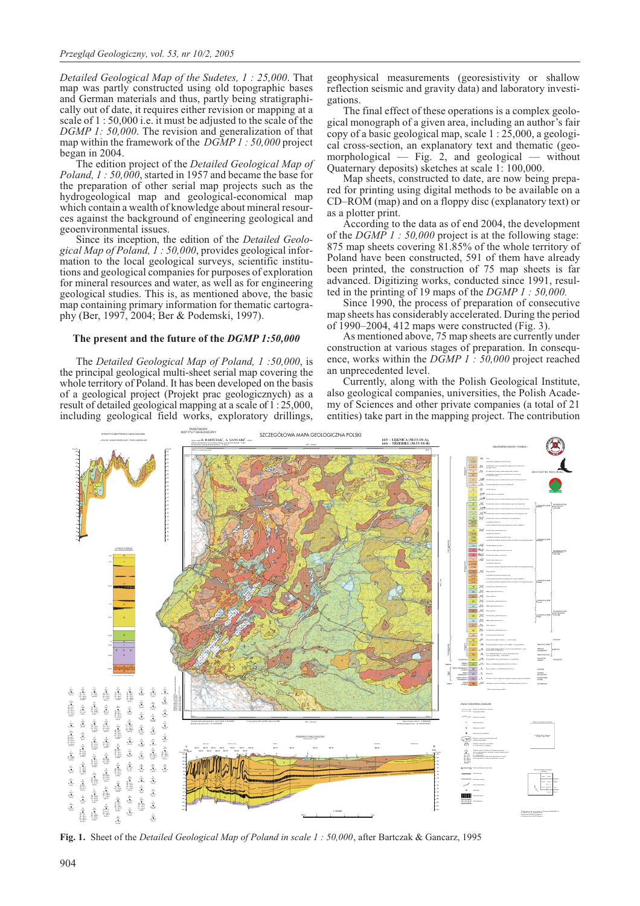*Detailed Geological Map of the Sudetes, 1 : 25,000*. That map was partly constructed using old topographic bases and German materials and thus, partly being stratigraphically out of date, it requires either revision or mapping at a scale of 1 : 50,000 i.e. it must be adjusted to the scale of the *DGMP 1: 50,000*. The revision and generalization of that map within the framework of the *DGMP 1 : 50,000* project began in 2004.

The edition project of the *Detailed Geological Map of Poland, 1 : 50,000*, started in 1957 and became the base for the preparation of other serial map projects such as the hydrogeological map and geological-economical map which contain a wealth of knowledge about mineral resources against the background of engineering geological and geoenvironmental issues.

Since its inception, the edition of the *Detailed Geological Map of Poland, 1 : 50,000*, provides geological information to the local geological surveys, scientific institutions and geological companies for purposes of exploration for mineral resources and water, as well as for engineering geological studies. This is, as mentioned above, the basic map containing primary information for thematic cartography (Ber, 1997, 2004; Ber & Podemski, 1997).

## **The present and the future of the** *DGMP 1:50,000*

The *Detailed Geological Map of Poland, 1 :50,000*, is the principal geological multi-sheet serial map covering the whole territory of Poland. It has been developed on the basis of a geological project (Projekt prac geologicznych) as a result of detailed geological mapping at a scale of 1 : 25,000, including geological field works, exploratory drillings,

geophysical measurements (georesistivity or shallow reflection seismic and gravity data) and laboratory investigations.

The final effect of these operations is a complex geological monograph of a given area, including an author's fair copy of a basic geological map, scale 1 : 25,000, a geological cross-section, an explanatory text and thematic (geomorphological — Fig. 2, and geological — without Quaternary deposits) sketches at scale 1: 100,000.

Map sheets, constructed to date, are now being prepared for printing using digital methods to be available on a CD–ROM (map) and on a floppy disc (explanatory text) or as a plotter print.

According to the data as of end 2004, the development of the *DGMP 1 : 50,000* project is at the following stage: 875 map sheets covering 81.85% of the whole territory of Poland have been constructed, 591 of them have already been printed, the construction of 75 map sheets is far advanced. Digitizing works, conducted since 1991, resulted in the printing of 19 maps of the *DGMP 1 : 50,000.*

Since 1990, the process of preparation of consecutive map sheets has considerably accelerated. During the period of 1990–2004, 412 maps were constructed (Fig. 3).

As mentioned above, 75 map sheets are currently under construction at various stages of preparation. In consequence, works within the *DGMP 1 : 50,000* project reached an unprecedented level.

Currently, along with the Polish Geological Institute, also geological companies, universities, the Polish Academy of Sciences and other private companies (a total of 21 entities) take part in the mapping project. The contribution



**Fig. 1.** Sheet of the *Detailed Geological Map of Poland in scale 1 : 50,000*, after Bartczak & Gancarz, 1995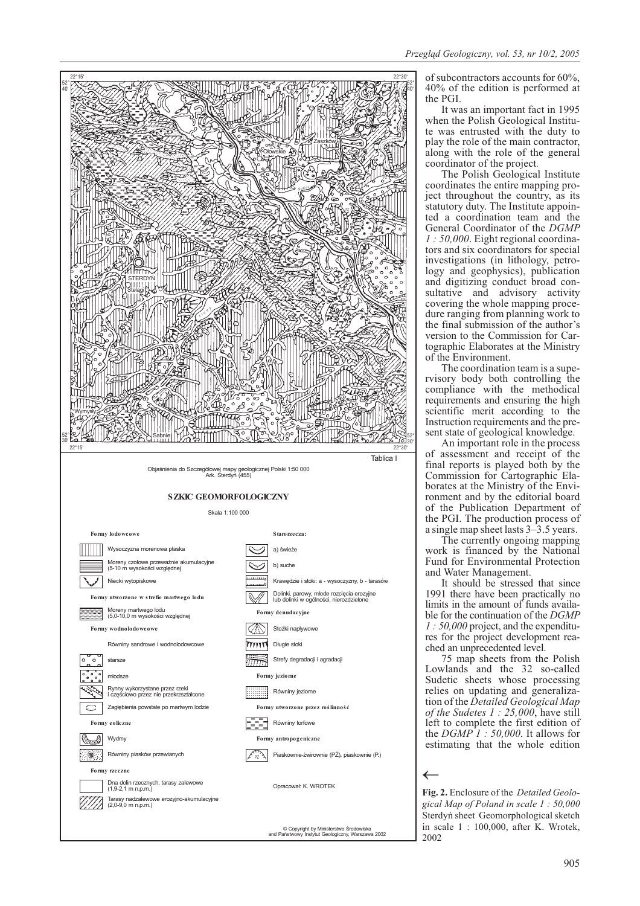

of subcontractors accounts for 60%, 40% of the edition is performed at the PGI.

It was an important fact in 1995<br>when the Polish Geological Institute was entrusted with the duty to play the role of the main contractor, along with the role of the general coordinator of the project*.*

The Polish Geological Institute coordinates the entire mapping pro-<br>ject throughout the country, as its<br>statutory duty. The Institute appointed a coordination team and the General Coordinator of the *DGMP* 1 : 50,000. Eight regional coordinators and six coordinators for special investigations (in lithology, petro- logy and geophysics), publication and digitizing conduct broad con-<br>sultative and advisory activity<br>covering the whole mapping procedure ranging from planning work to the final submission of the author's tographic Elaborates at the Ministry of the Environment.<br>The coordination team is a supe-

rvisory body both controlling the compliance with the methodical requirements and ensuring the high scientific merit according to the Instruction requirements and the present state of geological knowledge.

An important role in the process of assessment and receipt of the final reports is played both by the Commission for Cartographic Elaborates at the Ministry of the Environment and by the editorial board of the Publication Department of the PGI. The production process of a single map sheet lasts 3–3.5 years.

The currently ongoing mapping work is financed by the National Fund for Environmental Protection and Water Management.

It should be stressed that since 1991 there have been practically no limits in the amount of funds available for the continuation of the *DGMP 1 : 50,000* project, and the expenditures for the project development reached an unprecedented level.

75 map sheets from the Polish Lowlands and the 32 so-called Sudetic sheets whose processing relies on updating and generalization of the *Detailed Geological Map of the Sudetes 1 : 25,000*, have still left to complete the first edition of the *DGMP 1 : 50,000.* It allows for estimating that the whole edition

**Fig. 2.** Enclosure of the *Detailed Geological Map of Poland in scale 1 : 50,000* Sterdyñ sheet Geomorphological sketch in scale 1 : 100,000, after K. Wrotek, 2002

←